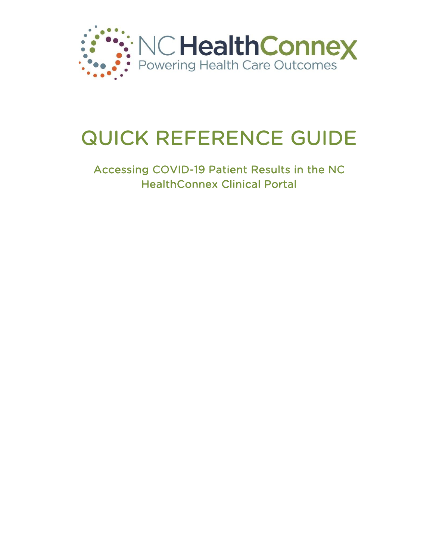

# QUICK REFERENCE GUIDE

Accessing COVID-19 Patient Results in the NC HealthConnex Clinical Portal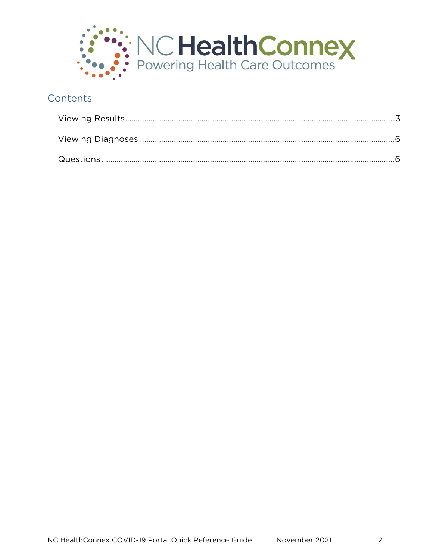

# Contents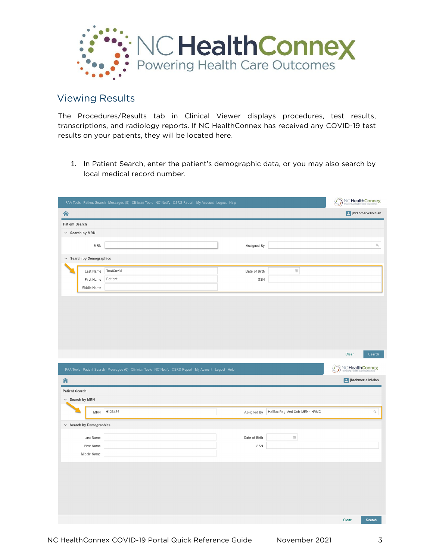

### <span id="page-2-0"></span>Viewing Results

The Procedures/Results tab in Clinical Viewer displays procedures, test results, transcriptions, and radiology reports. If NC HealthConnex has received any COVID-19 test results on your patients, they will be located here.

1. In Patient Search, enter the patient's demographic data, or you may also search by local medical record number.

|                               |                           | PAA Tools Patient Search Messages (0) Clinician Tools NC*Notify CSRS Report My Account Logout Help |               |                                 | NC HealthConnex<br>g.<br>X |                  |
|-------------------------------|---------------------------|----------------------------------------------------------------------------------------------------|---------------|---------------------------------|----------------------------|------------------|
| 合                             |                           |                                                                                                    |               |                                 | p jbrehmer-clinician       |                  |
| <b>Patient Search</b>         |                           |                                                                                                    |               |                                 |                            |                  |
| $\vee$ Search by MRN          |                           |                                                                                                    |               |                                 |                            |                  |
|                               | MRN                       |                                                                                                    | Assigned By   |                                 |                            | $\Box$           |
| $\vee$ Search by Demographics |                           |                                                                                                    |               |                                 |                            |                  |
|                               |                           |                                                                                                    |               |                                 |                            |                  |
|                               | Last Name                 | TestCovid                                                                                          | Date of Birth | 曲                               |                            |                  |
|                               | First Name<br>Middle Name | Patient                                                                                            | SSN           |                                 |                            |                  |
|                               |                           |                                                                                                    |               |                                 |                            |                  |
|                               |                           |                                                                                                    |               |                                 |                            |                  |
|                               |                           |                                                                                                    |               |                                 |                            |                  |
|                               |                           |                                                                                                    |               |                                 |                            |                  |
|                               |                           |                                                                                                    |               |                                 |                            |                  |
|                               |                           |                                                                                                    |               |                                 |                            |                  |
|                               |                           |                                                                                                    |               |                                 |                            |                  |
|                               |                           |                                                                                                    |               |                                 |                            |                  |
|                               |                           |                                                                                                    |               |                                 | Clear<br>Search            |                  |
|                               |                           | PAA Tools Patient Search Messages (0) Clinician Tools NC*Notify CSRS Report My Account Logout Help |               |                                 | Ö<br>NCHealthConnex        |                  |
| 合                             |                           |                                                                                                    |               |                                 | Jorehmer-clinician         |                  |
| <b>Patient Search</b>         |                           |                                                                                                    |               |                                 |                            |                  |
| $\vee$ Search by MRN          |                           |                                                                                                    |               |                                 |                            |                  |
|                               | MRN                       | H123456                                                                                            | Assigned By   | Halifax Reg Med Cntr MRN - HRMC |                            | $\Omega_{\rm c}$ |
|                               |                           |                                                                                                    |               |                                 |                            |                  |
| $\vee$ Search by Demographics |                           |                                                                                                    |               |                                 |                            |                  |
|                               | Last Name                 |                                                                                                    | Date of Birth | $\overline{\boxplus}$           |                            |                  |
|                               | First Name                |                                                                                                    | SSN           |                                 |                            |                  |
|                               | Middle Name               |                                                                                                    |               |                                 |                            |                  |
|                               |                           |                                                                                                    |               |                                 |                            |                  |
|                               |                           |                                                                                                    |               |                                 |                            |                  |
|                               |                           |                                                                                                    |               |                                 |                            |                  |
|                               |                           |                                                                                                    |               |                                 |                            |                  |
|                               |                           |                                                                                                    |               |                                 |                            |                  |
|                               |                           |                                                                                                    |               |                                 | Clear<br>Search            |                  |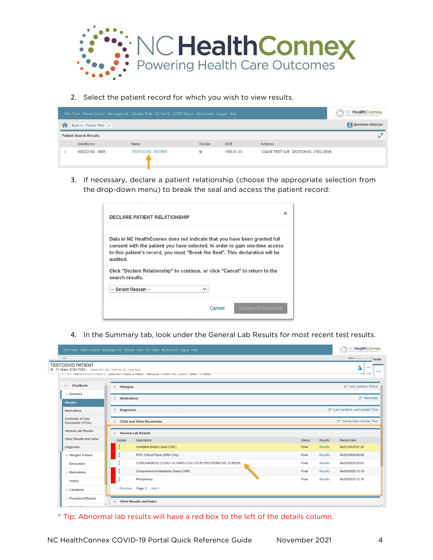

2. Select the patient record for which you wish to view results.

|   |                               | PAA Tools Patient Search Messages (0) Clinician Tools NC*Notify CSRS Report My Account Logout Help |        |            |                                       | <b>HealthConnex</b><br>- Powering Health |
|---|-------------------------------|----------------------------------------------------------------------------------------------------|--------|------------|---------------------------------------|------------------------------------------|
| A | Back to: Patient Find >       |                                                                                                    |        |            |                                       | puller-clinician                         |
|   | <b>Patient Search Results</b> |                                                                                                    |        |            |                                       | ×                                        |
|   | Identifier(s)                 | Name                                                                                               | Gender | <b>DOB</b> | Address                               |                                          |
|   | 1002221535555                 | <b>TESTCOVID, PATIENT</b>                                                                          | M      | 1950-01-01 | 123456 TEST AVE, GASTON NC 27832-9638 |                                          |

3. If necessary, declare a patient relationship (choose the appropriate selection from the drop-down menu) to break the seal and access the patient record:

| <b>DECLARE PATIENT RELATIONSHIP</b>                                                                                                                                                                                                                                                                                                    |             | ×                    |
|----------------------------------------------------------------------------------------------------------------------------------------------------------------------------------------------------------------------------------------------------------------------------------------------------------------------------------------|-------------|----------------------|
| Data in NC HealthConnex does not indicate that you have been granted full<br>consent with the patient you have selected. In order to gain one-time access<br>to this patient's record, you must "Break the Seal". This declaration will be<br>audited.<br>Click "Declare Relationship" to continue, or click "Cancel" to return to the |             |                      |
| search results.<br>-- Select Reason --                                                                                                                                                                                                                                                                                                 | $\check{ }$ |                      |
|                                                                                                                                                                                                                                                                                                                                        | Cancel      | Declare Relationship |

4. In the Summary tab, look under the General Lab Results for most recent test results.

|                                                                                                |                                   | PAA Tools Patient Search Messages (0) Clinician Tools NC'Notify My Account Logout Help    |        |                | $\begin{picture}(150,10) \put(0,0){\line(1,0){10}} \put(0,0){\line(1,0){10}} \put(0,0){\line(1,0){10}} \put(0,0){\line(1,0){10}} \put(0,0){\line(1,0){10}} \put(0,0){\line(1,0){10}} \put(0,0){\line(1,0){10}} \put(0,0){\line(1,0){10}} \put(0,0){\line(1,0){10}} \put(0,0){\line(1,0){10}} \put(0,0){\line(1,0){10}} \put(0,0){\line(1,0){10}} \put(0$ |
|------------------------------------------------------------------------------------------------|-----------------------------------|-------------------------------------------------------------------------------------------|--------|----------------|----------------------------------------------------------------------------------------------------------------------------------------------------------------------------------------------------------------------------------------------------------------------------------------------------------------------------------------------------------|
| A la construcción de la la l                                                                   |                                   |                                                                                           |        |                | <b>Executive Contract of Property Contract</b>                                                                                                                                                                                                                                                                                                           |
| <b>TESTCOVID PATIENT</b><br>M - 71 Years (01/01/1950) - 123456 TEST AVE, GASTON, NC 27832-9638 |                                   | T - HE TOCHO (VIN DI DUVE - ZUUU NU FINEAL STINEET, MEDIUM TUWN, NU 27013 - (HHH) TEPOOOO |        |                | Δ<br>                                                                                                                                                                                                                                                                                                                                                    |
| Chartbook<br>$\checkmark$                                                                      | > Allergies                       |                                                                                           |        |                | = Last Updated, Status                                                                                                                                                                                                                                                                                                                                   |
| $\vee$ Summary<br>Allergies                                                                    | Medications                       |                                                                                           |        |                | $=$ Start Date                                                                                                                                                                                                                                                                                                                                           |
| Medications                                                                                    | <b>Diagnoses</b><br>$\rightarrow$ |                                                                                           |        |                | E Last Updated, Last Update Time                                                                                                                                                                                                                                                                                                                         |
| Continuity of Care<br>Documents (CCDs)                                                         |                                   | <b>CCDs and Other Documents</b>                                                           |        |                | F Activity Date, Activity Time                                                                                                                                                                                                                                                                                                                           |
| General Lab Results                                                                            | $\checkmark$                      | <b>General Lab Results</b>                                                                |        |                |                                                                                                                                                                                                                                                                                                                                                          |
| Other Results and Notes                                                                        | Details                           | Description                                                                               | Status | Results        | Result Date                                                                                                                                                                                                                                                                                                                                              |
| Diagnoses                                                                                      | $\bullet$                         | Complete Blood Count (CBC)                                                                | Final  | <b>Results</b> | 04/21/2020 07:35                                                                                                                                                                                                                                                                                                                                         |
| > Allergies & Alerts                                                                           |                                   | POC Critical Panel (DRH Only)                                                             | Final  | <b>Results</b> | 04/22/2020 06:08                                                                                                                                                                                                                                                                                                                                         |
| Encounters                                                                                     |                                   | CORONAVIRUS (COVID-19) SARS-COV-2 PCR PREOPERATIVE SCREEN                                 | Final  | <b>Results</b> | 04/20/2020 20:01                                                                                                                                                                                                                                                                                                                                         |
| > Medications                                                                                  | ÷                                 | Comprehensive Metabolic Panel (CMP)                                                       | Final  | <b>Results</b> | 04/20/2020 13:18                                                                                                                                                                                                                                                                                                                                         |
| History                                                                                        | 3                                 | Phosphorus                                                                                | Final  | <b>Results</b> | 04/20/2020 13:18                                                                                                                                                                                                                                                                                                                                         |
| > Conditions                                                                                   | < Previous                        | Page 2 Next >                                                                             |        |                |                                                                                                                                                                                                                                                                                                                                                          |
| > Procedures/Results                                                                           |                                   | $\vee$ Other Results and Notes                                                            |        |                |                                                                                                                                                                                                                                                                                                                                                          |

\* Tip: Abnormal lab results will have a red box to the left of the details column.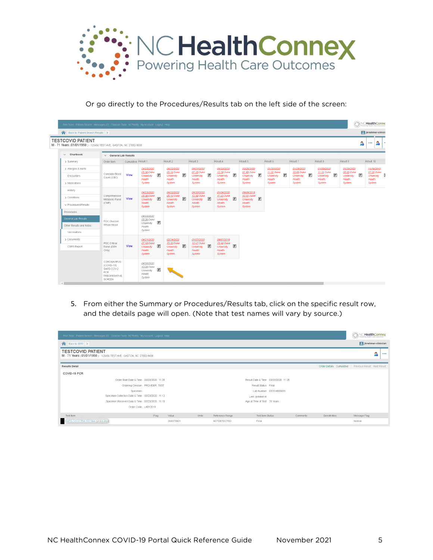

#### Or go directly to the Procedures/Results tab on the left side of the screen:

| <b>TESTCOVID PATIENT</b><br>M - 71 Years (01/01/1950) - 123456 TEST AVE, GASTON, NC 27832-9638 |                                                                        |                     |                                                                 |                               |                               |                                                   |                                                              |                               |                               |                               | B                             | $\Omega_{\rm e}$<br>$\cdots$      |  |
|------------------------------------------------------------------------------------------------|------------------------------------------------------------------------|---------------------|-----------------------------------------------------------------|-------------------------------|-------------------------------|---------------------------------------------------|--------------------------------------------------------------|-------------------------------|-------------------------------|-------------------------------|-------------------------------|-----------------------------------|--|
|                                                                                                |                                                                        |                     |                                                                 |                               |                               |                                                   |                                                              |                               |                               |                               |                               |                                   |  |
| $\vee$ Chartbook                                                                               | $\vee$ General Lab Results                                             |                     |                                                                 |                               |                               |                                                   |                                                              |                               |                               |                               |                               |                                   |  |
| > Summary                                                                                      | Order Item                                                             | Cumulative Result 1 |                                                                 | Result 2                      | Result 3                      | Result 4                                          | Result 5                                                     | Result 6                      | Result 7                      | Result 8                      | Result 9                      | Result 10                         |  |
| > Allergies & Alerts                                                                           |                                                                        |                     | 04/23/2020                                                      | 04/22/2020                    | 04/21/2020                    | 04/20/2020                                        | 02/25/2020                                                   | 01/30/2020                    | 01/29/2020                    | 01/28/2020                    | 01/28/2020                    | 11/16/2019                        |  |
| Encounters                                                                                     | Complete Blood<br>Count (CBC)                                          | View                | 05:36 Duke<br>E<br>University                                   | 05:10 Duke<br>F<br>University | 07:28 Duke<br>F<br>University | 12:39 Duke<br>$\mathbb{F}$<br>University          | 07:49 Duke<br>$\mathsf{F}$<br>University                     | 11:32 Duke<br>E<br>University | 18:49 Duke<br>E<br>University | 11:10 Duke<br>F<br>University | 08:35 Duke<br>F<br>University | 07:28 Duke<br>University <b>I</b> |  |
| > Medications                                                                                  |                                                                        |                     | Health<br>System                                                | Health<br>System              | Health<br>System              | Health<br>System                                  | Health<br>System                                             | Health<br>System              | Health<br><b>System</b>       | Health<br><b>System</b>       | Health<br>System              | Health<br>System                  |  |
| History                                                                                        |                                                                        |                     | 04/23/2020                                                      | 04/22/2020                    | 04/20/2020                    | 01/04/2020                                        | 09/09/2019                                                   |                               |                               |                               |                               |                                   |  |
| > Conditions                                                                                   | Comprehensive<br>Metabolic Panel                                       | View                | Health<br>System                                                | 05:36 Duke<br>F<br>University | 05:10 Duke<br>E<br>University | 12:39 Duke<br>F<br>University<br>Health<br>System | 11:43 Duke<br>$\mathbb{F}$<br>University<br>Health<br>System | 10:10 Duke<br>E<br>University |                               |                               |                               |                                   |  |
| v Procedures/Results                                                                           | (CMP)                                                                  |                     |                                                                 |                               | Health<br>System              |                                                   |                                                              | Health<br>System              |                               |                               |                               |                                   |  |
| <b>Procedures</b>                                                                              |                                                                        |                     |                                                                 |                               |                               |                                                   |                                                              |                               |                               |                               |                               |                                   |  |
| General Lab Results                                                                            | POC Glucose                                                            |                     | 04/22/2020<br>05:26 Duke                                        |                               |                               |                                                   |                                                              |                               |                               |                               |                               |                                   |  |
| Other Results and Notes                                                                        | Whole Blood                                                            |                     | E<br>University<br>Health                                       |                               |                               |                                                   |                                                              |                               |                               |                               |                               |                                   |  |
| Vaccinations                                                                                   |                                                                        |                     | System                                                          |                               |                               |                                                   |                                                              |                               |                               |                               |                               |                                   |  |
| > Documents                                                                                    |                                                                        |                     | 04/21/2020                                                      | 02/24/2020                    | 01/27/2020                    | 09/07/2019                                        |                                                              |                               |                               |                               |                               |                                   |  |
| CSRS Report                                                                                    | POC Critical<br>Panel (DRH                                             | View                | 07:19 Duke<br>F<br>University                                   | 13:33 Duke<br>F<br>University | 12:47 Duke<br>F<br>University | 15:49 Duke<br>F<br>University                     |                                                              |                               |                               |                               |                               |                                   |  |
|                                                                                                | Only)                                                                  |                     | Health<br><b>System</b>                                         | Health<br>System              | Health<br>System              | Health<br>System                                  |                                                              |                               |                               |                               |                               |                                   |  |
|                                                                                                | <b>CORONAVIRUS</b><br>(COVID-19)<br>SARS-COV-2<br>PCR.<br>PREOPERATIVE |                     | 04/20/2020<br>13:08 Duke<br>F<br>University<br>Health<br>System |                               |                               |                                                   |                                                              |                               |                               |                               |                               |                                   |  |

5. From either the Summary or Procedures/Results tab, click on the specific result row, and the details page will open. (Note that test names will vary by source.)

| PAA Tools Patient Search Messages (0) Clinician Tools NC*Notify My Account Logout Help         |                                   |           |              |                 |                                     |                 |                          | $\bigotimes_{\text{Powersing Hessht Care Outcomes}}\bigotimes_{\text{Powers}}\text{NCE}\xspace\text{Hessht Case Outcomes}$ |
|------------------------------------------------------------------------------------------------|-----------------------------------|-----------|--------------|-----------------|-------------------------------------|-----------------|--------------------------|----------------------------------------------------------------------------------------------------------------------------|
| Back to: EPR >                                                                                 |                                   |           |              |                 |                                     |                 |                          | jbrehmer-clinician                                                                                                         |
| <b>TESTCOVID PATIENT</b><br>M - 71 Years (01/01/1950) - 123456 TEST AVE, GASTON, NC 27832-9638 |                                   |           |              |                 |                                     |                 |                          | Ω<br>$\cdots$                                                                                                              |
| <b>Results Detail</b>                                                                          |                                   |           |              |                 |                                     |                 | Order Details Cumulative | Previous Result Next Result                                                                                                |
| COVID-19 PCR                                                                                   |                                   |           |              |                 |                                     |                 |                          |                                                                                                                            |
| Order Start Date & Time 03/23/2020 11:25                                                       |                                   |           |              |                 | Result Date & Time 03/23/2020 11:25 |                 |                          |                                                                                                                            |
|                                                                                                | Ordering Clinician PROVIDER, TEST |           |              |                 | Result Status Final                 |                 |                          |                                                                                                                            |
| Specimen                                                                                       |                                   |           |              |                 | Lab Number 0323:H00065S             |                 |                          |                                                                                                                            |
| Specimen Collection Date & Time 03/23/2020 11:12                                               |                                   |           |              |                 | Last Updated At                     |                 |                          |                                                                                                                            |
| Specimen Received Date & Time 03/23/2020 11:18                                                 |                                   |           |              |                 | Age at Time of Test 70 Years        |                 |                          |                                                                                                                            |
| Order Code LAB12019                                                                            |                                   |           |              |                 |                                     |                 |                          |                                                                                                                            |
| Test Item                                                                                      | Flag                              | Value     | <b>Units</b> | Reference Range | Test item Status                    | <b>Comments</b> | SensitMties              | Message Flag                                                                                                               |
| SARS-CoV-2 RNA XXX NAA+probe-lmp                                                               |                                   | 260373001 |              | NOTDETECTED     | Final                               |                 |                          | Normal                                                                                                                     |